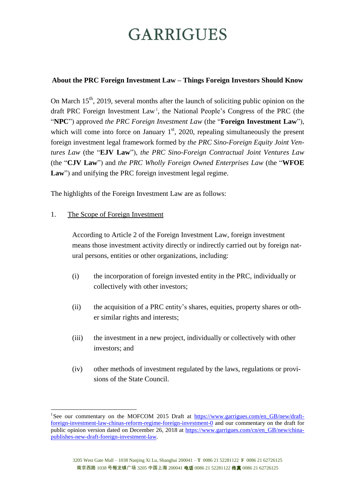### **About the PRC Foreign Investment Law – Things Foreign Investors Should Know**

On March  $15<sup>th</sup>$ , 2019, several months after the launch of soliciting public opinion on the draft PRC Foreign Investment Law<sup>1</sup>, the National People's Congress of the PRC (the "**NPC**") approved *the PRC Foreign Investment Law* (the "**Foreign Investment Law**"), which will come into force on January  $1<sup>st</sup>$ , 2020, repealing simultaneously the present foreign investment legal framework formed by *the PRC Sino-Foreign Equity Joint Ventures Law* (the "**EJV Law**"), *the PRC Sino-Foreign Contractual Joint Ventures Law* (the "**CJV Law**") and *the PRC Wholly Foreign Owned Enterprises Law* (the "**WFOE** Law") and unifying the PRC foreign investment legal regime.

The highlights of the Foreign Investment Law are as follows:

### 1. The Scope of Foreign Investment

<u>.</u>

According to Article 2 of the Foreign Investment Law, foreign investment means those investment activity directly or indirectly carried out by foreign natural persons, entities or other organizations, including:

- (i) the incorporation of foreign invested entity in the PRC, individually or collectively with other investors;
- (ii) the acquisition of a PRC entity's shares, equities, property shares or other similar rights and interests;
- (iii) the investment in a new project, individually or collectively with other investors; and
- (iv) other methods of investment regulated by the laws, regulations or provisions of the State Council.

<sup>&</sup>lt;sup>1</sup>See our commentary on the MOFCOM 2015 Draft at [https://www.garrigues.com/en\\_GB/new/draft](https://www.garrigues.com/en_GB/new/draft-foreign-investment-law-chinas-reform-regime-foreign-investment-0)[foreign-investment-law-chinas-reform-regime-foreign-investment-0](https://www.garrigues.com/en_GB/new/draft-foreign-investment-law-chinas-reform-regime-foreign-investment-0) and our commentary on the draft for public opinion version dated on December 26, 2018 at [https://www.garrigues.com/cn/en\\_GB/new/china](https://www.garrigues.com/cn/en_GB/new/china-publishes-new-draft-foreign-investment-law)[publishes-new-draft-foreign-investment-law.](https://www.garrigues.com/cn/en_GB/new/china-publishes-new-draft-foreign-investment-law)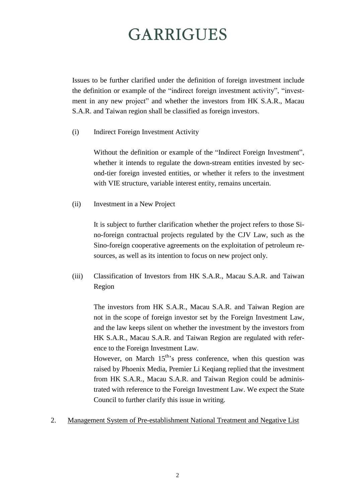Issues to be further clarified under the definition of foreign investment include the definition or example of the "indirect foreign investment activity", "investment in any new project" and whether the investors from HK S.A.R., Macau S.A.R. and Taiwan region shall be classified as foreign investors.

(i) Indirect Foreign Investment Activity

Without the definition or example of the "Indirect Foreign Investment", whether it intends to regulate the down-stream entities invested by second-tier foreign invested entities, or whether it refers to the investment with VIE structure, variable interest entity, remains uncertain.

(ii) Investment in a New Project

It is subject to further clarification whether the project refers to those Sino-foreign contractual projects regulated by the CJV Law, such as the Sino-foreign cooperative agreements on the exploitation of petroleum resources, as well as its intention to focus on new project only.

(iii) Classification of Investors from HK S.A.R., Macau S.A.R. and Taiwan Region

The investors from HK S.A.R., Macau S.A.R. and Taiwan Region are not in the scope of foreign investor set by the Foreign Investment Law, and the law keeps silent on whether the investment by the investors from HK S.A.R., Macau S.A.R. and Taiwan Region are regulated with reference to the Foreign Investment Law.

However, on March  $15<sup>th</sup>$ 's press conference, when this question was raised by Phoenix Media, Premier Li Keqiang replied that the investment from HK S.A.R., Macau S.A.R. and Taiwan Region could be administrated with reference to the Foreign Investment Law. We expect the State Council to further clarify this issue in writing.

### 2. Management System of Pre-establishment National Treatment and Negative List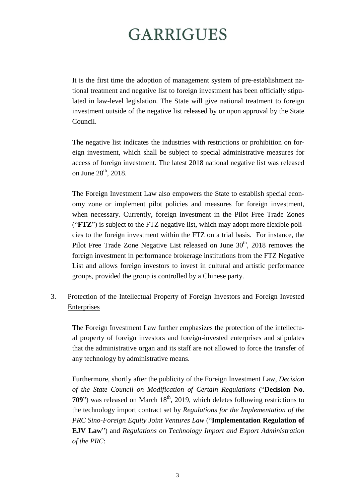It is the first time the adoption of management system of pre-establishment national treatment and negative list to foreign investment has been officially stipulated in law-level legislation. The State will give national treatment to foreign investment outside of the negative list released by or upon approval by the State Council.

The negative list indicates the industries with restrictions or prohibition on foreign investment, which shall be subject to special administrative measures for access of foreign investment. The latest 2018 national negative list was released on June 28<sup>th</sup>, 2018.

The Foreign Investment Law also empowers the State to establish special economy zone or implement pilot policies and measures for foreign investment, when necessary. Currently, foreign investment in the Pilot Free Trade Zones ("**FTZ**") is subject to the FTZ negative list, which may adopt more flexible policies to the foreign investment within the FTZ on a trial basis. For instance, the Pilot Free Trade Zone Negative List released on June 30<sup>th</sup>, 2018 removes the foreign investment in performance brokerage institutions from the FTZ Negative List and allows foreign investors to invest in cultural and artistic performance groups, provided the group is controlled by a Chinese party.

### 3. Protection of the Intellectual Property of Foreign Investors and Foreign Invested **Enterprises**

The Foreign Investment Law further emphasizes the protection of the intellectual property of foreign investors and foreign-invested enterprises and stipulates that the administrative organ and its staff are not allowed to force the transfer of any technology by administrative means.

Furthermore, shortly after the publicity of the Foreign Investment Law, *Decision of the State Council on Modification of Certain Regulations* ("**Decision No. 709**") was released on March 18<sup>th</sup>, 2019, which deletes following restrictions to the technology import contract set by *Regulations for the Implementation of the PRC Sino-Foreign Equity Joint Ventures Law* ("**Implementation Regulation of EJV Law**") and *Regulations on Technology Import and Export Administration of the PRC*: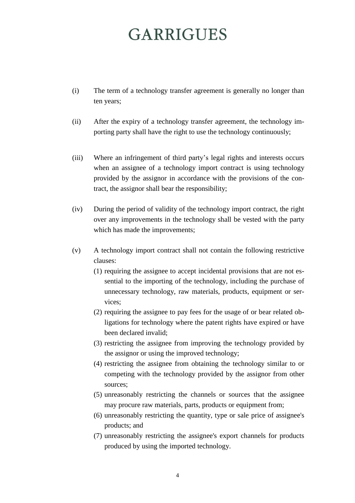- (i) The term of a technology transfer agreement is generally no longer than ten years;
- (ii) After the expiry of a technology transfer agreement, the technology importing party shall have the right to use the technology continuously;
- (iii) Where an infringement of third party's legal rights and interests occurs when an assignee of a technology import contract is using technology provided by the assignor in accordance with the provisions of the contract, the assignor shall bear the responsibility;
- (iv) During the period of validity of the technology import contract, the right over any improvements in the technology shall be vested with the party which has made the improvements;
- (v) A technology import contract shall not contain the following restrictive clauses:
	- (1) requiring the assignee to accept incidental provisions that are not essential to the importing of the technology, including the purchase of unnecessary technology, raw materials, products, equipment or services;
	- (2) requiring the assignee to pay fees for the usage of or bear related obligations for technology where the patent rights have expired or have been declared invalid;
	- (3) restricting the assignee from improving the technology provided by the assignor or using the improved technology;
	- (4) restricting the assignee from obtaining the technology similar to or competing with the technology provided by the assignor from other sources;
	- (5) unreasonably restricting the channels or sources that the assignee may procure raw materials, parts, products or equipment from;
	- (6) unreasonably restricting the quantity, type or sale price of assignee's products; and
	- (7) unreasonably restricting the assignee's export channels for products produced by using the imported technology.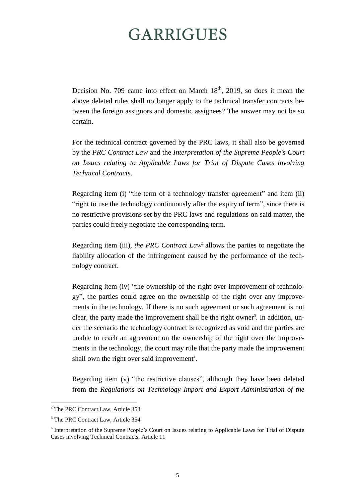Decision No. 709 came into effect on March  $18<sup>th</sup>$ , 2019, so does it mean the above deleted rules shall no longer apply to the technical transfer contracts between the foreign assignors and domestic assignees? The answer may not be so certain.

For the technical contract governed by the PRC laws, it shall also be governed by the *PRC Contract Law* and the *Interpretation of the Supreme People's Court on Issues relating to Applicable Laws for Trial of Dispute Cases involving Technical Contracts*.

Regarding item (i) "the term of a technology transfer agreement" and item (ii) "right to use the technology continuously after the expiry of term", since there is no restrictive provisions set by the PRC laws and regulations on said matter, the parties could freely negotiate the corresponding term.

Regarding item (iii), *the PRC Contract Law*<sup>2</sup> allows the parties to negotiate the liability allocation of the infringement caused by the performance of the technology contract.

Regarding item (iv) "the ownership of the right over improvement of technology", the parties could agree on the ownership of the right over any improvements in the technology. If there is no such agreement or such agreement is not clear, the party made the improvement shall be the right owner<sup>3</sup>. In addition, under the scenario the technology contract is recognized as void and the parties are unable to reach an agreement on the ownership of the right over the improvements in the technology, the court may rule that the party made the improvement shall own the right over said improvement<sup>4</sup>.

Regarding item (v) "the restrictive clauses", although they have been deleted from the *Regulations on Technology Import and Export Administration of the*

<u>.</u>

<sup>&</sup>lt;sup>2</sup> The PRC Contract Law, Article 353

<sup>&</sup>lt;sup>3</sup> The PRC Contract Law, Article 354

<sup>&</sup>lt;sup>4</sup> Interpretation of the Supreme People's Court on Issues relating to Applicable Laws for Trial of Dispute Cases involving Technical Contracts, Article 11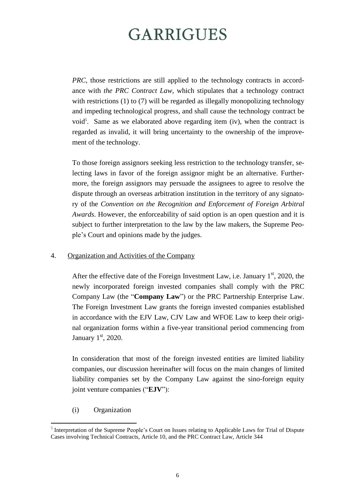*PRC*, those restrictions are still applied to the technology contracts in accordance with *the PRC Contract Law*, which stipulates that a technology contract with restrictions (1) to (7) will be regarded as illegally monopolizing technology and impeding technological progress, and shall cause the technology contract be void<sup>5</sup>. Same as we elaborated above regarding item (iv), when the contract is regarded as invalid, it will bring uncertainty to the ownership of the improvement of the technology.

To those foreign assignors seeking less restriction to the technology transfer, selecting laws in favor of the foreign assignor might be an alternative. Furthermore, the foreign assignors may persuade the assignees to agree to resolve the dispute through an overseas arbitration institution in the territory of any signatory of the *Convention on the Recognition and Enforcement of Foreign Arbitral Awards*. However, the enforceability of said option is an open question and it is subject to further interpretation to the law by the law makers, the Supreme People's Court and opinions made by the judges.

4. Organization and Activities of the Company

After the effective date of the Foreign Investment Law, i.e. January  $1<sup>st</sup>$ , 2020, the newly incorporated foreign invested companies shall comply with the PRC Company Law (the "**Company Law**") or the PRC Partnership Enterprise Law. The Foreign Investment Law grants the foreign invested companies established in accordance with the EJV Law, CJV Law and WFOE Law to keep their original organization forms within a five-year transitional period commencing from January 1st, 2020.

In consideration that most of the foreign invested entities are limited liability companies, our discussion hereinafter will focus on the main changes of limited liability companies set by the Company Law against the sino-foreign equity joint venture companies ("**EJV**"):

(i) Organization

1

<sup>&</sup>lt;sup>5</sup> Interpretation of the Supreme People's Court on Issues relating to Applicable Laws for Trial of Dispute Cases involving Technical Contracts, Article 10, and the PRC Contract Law, Article 344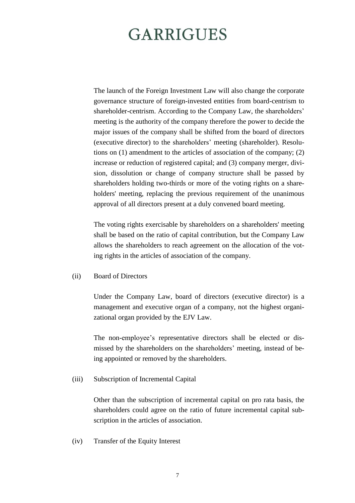The launch of the Foreign Investment Law will also change the corporate governance structure of foreign-invested entities from board-centrism to shareholder-centrism. According to the Company Law, the shareholders' meeting is the authority of the company therefore the power to decide the major issues of the company shall be shifted from the board of directors (executive director) to the shareholders' meeting (shareholder). Resolutions on (1) amendment to the articles of association of the company; (2) increase or reduction of registered capital; and (3) company merger, division, dissolution or change of company structure shall be passed by shareholders holding two-thirds or more of the voting rights on a shareholders' meeting, replacing the previous requirement of the unanimous approval of all directors present at a duly convened board meeting.

The voting rights exercisable by shareholders on a shareholders' meeting shall be based on the ratio of capital contribution, but the Company Law allows the shareholders to reach agreement on the allocation of the voting rights in the articles of association of the company.

(ii) Board of Directors

Under the Company Law, board of directors (executive director) is a management and executive organ of a company, not the highest organizational organ provided by the EJV Law.

The non-employee's representative directors shall be elected or dismissed by the shareholders on the shareholders' meeting, instead of being appointed or removed by the shareholders.

(iii) Subscription of Incremental Capital

Other than the subscription of incremental capital on pro rata basis, the shareholders could agree on the ratio of future incremental capital subscription in the articles of association.

(iv) Transfer of the Equity Interest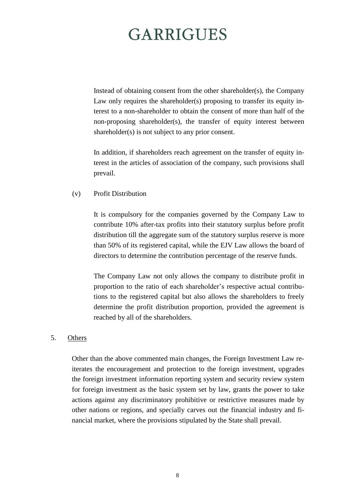Instead of obtaining consent from the other shareholder(s), the Company Law only requires the shareholder(s) proposing to transfer its equity interest to a non-shareholder to obtain the consent of more than half of the non-proposing shareholder(s), the transfer of equity interest between shareholder(s) is not subject to any prior consent.

In addition, if shareholders reach agreement on the transfer of equity interest in the articles of association of the company, such provisions shall prevail.

#### (v) Profit Distribution

It is compulsory for the companies governed by the Company Law to contribute 10% after-tax profits into their statutory surplus before profit distribution till the aggregate sum of the statutory surplus reserve is more than 50% of its registered capital, while the EJV Law allows the board of directors to determine the contribution percentage of the reserve funds.

The Company Law not only allows the company to distribute profit in proportion to the ratio of each shareholder's respective actual contributions to the registered capital but also allows the shareholders to freely determine the profit distribution proportion, provided the agreement is reached by all of the shareholders.

#### 5. Others

Other than the above commented main changes, the Foreign Investment Law reiterates the encouragement and protection to the foreign investment, upgrades the foreign investment information reporting system and security review system for foreign investment as the basic system set by law, grants the power to take actions against any discriminatory prohibitive or restrictive measures made by other nations or regions, and specially carves out the financial industry and financial market, where the provisions stipulated by the State shall prevail.